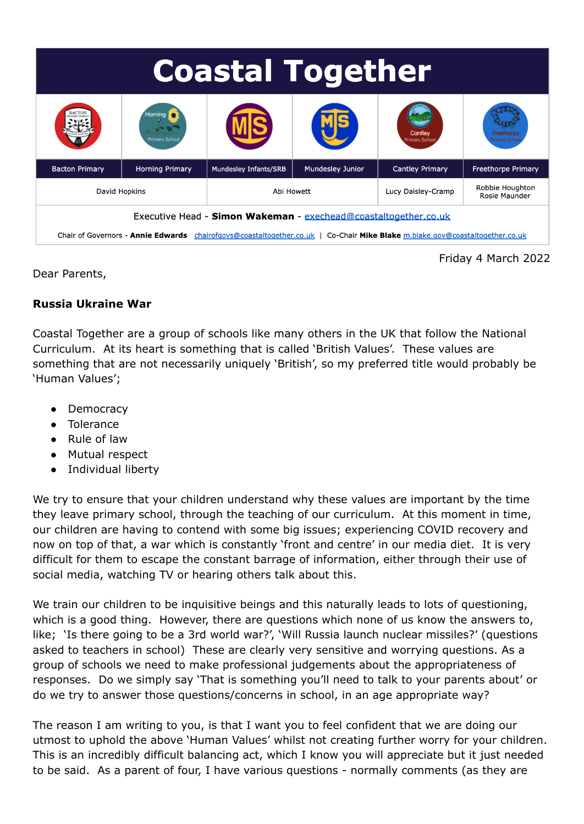| <b>Coastal Together</b>                                                                                                            |                        |                       |                  |                        |                                  |
|------------------------------------------------------------------------------------------------------------------------------------|------------------------|-----------------------|------------------|------------------------|----------------------------------|
|                                                                                                                                    | Horning                |                       |                  | Cantley                |                                  |
| <b>Bacton Primary</b>                                                                                                              | <b>Horning Primary</b> | Mundesley Infants/SRB | Mundesley Junior | <b>Cantley Primary</b> | <b>Freethorpe Primary</b>        |
| David Hopkins                                                                                                                      |                        | Abi Howett            |                  | Lucy Daisley-Cramp     | Robbie Houghton<br>Rosie Maunder |
| Executive Head - Simon Wakeman - exechead@coastaltogether.co.uk                                                                    |                        |                       |                  |                        |                                  |
| chairofgovs@coastaltogether.co.uk  <br>Chair of Governors - Annie Edwards<br>Co-Chair Mike Blake m.blake.gov@coastaltogether.co.uk |                        |                       |                  |                        |                                  |

Dear Parents,

Friday 4 March 2022

## **Russia Ukraine War**

Coastal Together are a group of schools like many others in the UK that follow the National Curriculum. At its heart is something that is called 'British Values'. These values are something that are not necessarily uniquely 'British', so my preferred title would probably be 'Human Values';

- Democracy
- Tolerance
- Rule of law
- Mutual respect
- Individual liberty

We try to ensure that your children understand why these values are important by the time they leave primary school, through the teaching of our curriculum. At this moment in time, our children are having to contend with some big issues; experiencing COVID recovery and now on top of that, a war which is constantly 'front and centre' in our media diet. It is very difficult for them to escape the constant barrage of information, either through their use of social media, watching TV or hearing others talk about this.

We train our children to be inquisitive beings and this naturally leads to lots of questioning, which is a good thing. However, there are questions which none of us know the answers to, like; 'Is there going to be a 3rd world war?', 'Will Russia launch nuclear missiles?' (questions asked to teachers in school) These are clearly very sensitive and worrying questions. As a group of schools we need to make professional judgements about the appropriateness of responses. Do we simply say 'That is something you'll need to talk to your parents about' or do we try to answer those questions/concerns in school, in an age appropriate way?

The reason I am writing to you, is that I want you to feel confident that we are doing our utmost to uphold the above 'Human Values' whilst not creating further worry for your children. This is an incredibly difficult balancing act, which I know you will appreciate but it just needed to be said. As a parent of four, I have various questions - normally comments (as they are